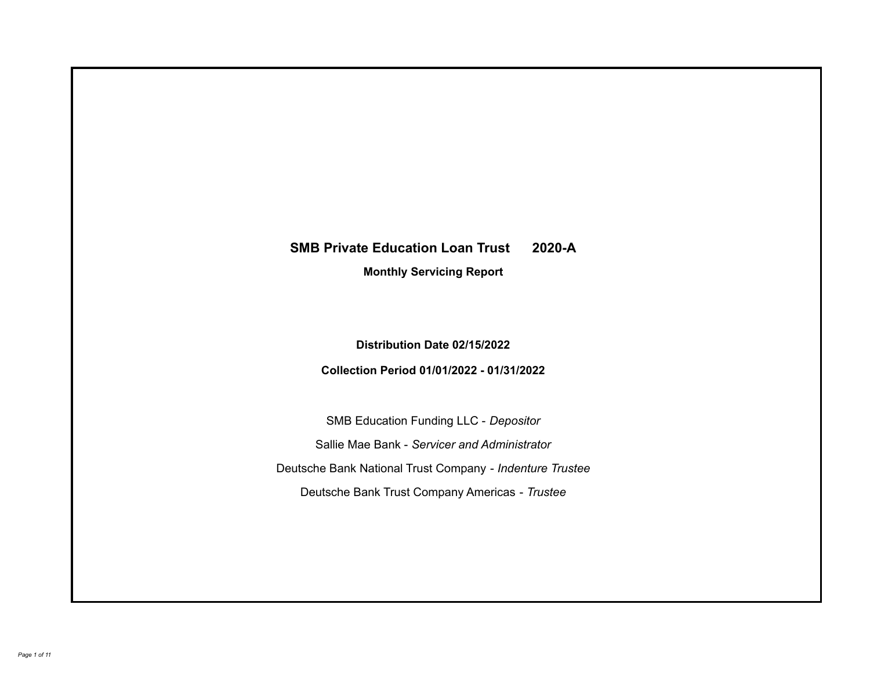# **SMB Private Education Loan Trust 2020-A**

**Monthly Servicing Report**

**Distribution Date 02/15/2022**

**Collection Period 01/01/2022 - 01/31/2022**

SMB Education Funding LLC - *Depositor* Sallie Mae Bank - *Servicer and Administrator* Deutsche Bank National Trust Company - *Indenture Trustee* Deutsche Bank Trust Company Americas - *Trustee*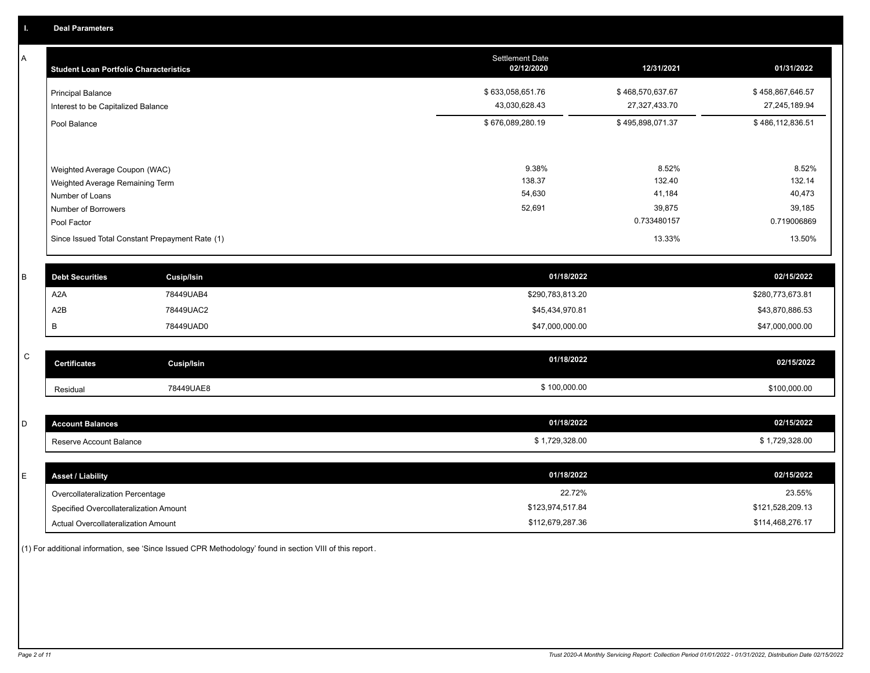A

| <b>Student Loan Portfolio Characteristics</b>                  | <b>Settlement Date</b><br>02/12/2020 | 12/31/2021                        | 01/31/2022                        |
|----------------------------------------------------------------|--------------------------------------|-----------------------------------|-----------------------------------|
| <b>Principal Balance</b><br>Interest to be Capitalized Balance | \$633,058,651.76<br>43,030,628.43    | \$468,570,637.67<br>27,327,433.70 | \$458,867,646.57<br>27,245,189.94 |
| Pool Balance                                                   | \$676,089,280.19                     | \$495,898,071.37                  | \$486,112,836.51                  |
|                                                                |                                      |                                   |                                   |
| Weighted Average Coupon (WAC)                                  | 9.38%                                | 8.52%                             | 8.52%                             |
| Weighted Average Remaining Term                                | 138.37                               | 132.40                            | 132.14                            |
| Number of Loans                                                | 54,630                               | 41,184                            | 40,473                            |
| Number of Borrowers                                            | 52,691                               | 39,875                            | 39,185                            |
| Pool Factor                                                    |                                      | 0.733480157                       | 0.719006869                       |
| Since Issued Total Constant Prepayment Rate (1)                |                                      | 13.33%                            | 13.50%                            |
| <b>Dobt Securities</b><br>Cucin/lein                           | 01/18/2022                           |                                   | 02/15/2022                        |

| <b>Debt Securities</b> | Cusip/Isin | 01/18/2022       | 02/15/2022       |
|------------------------|------------|------------------|------------------|
| A2A                    | 78449UAB4  | \$290,783,813.20 | \$280,773,673.81 |
| A2B                    | 78449UAC2  | \$45,434,970.81  | \$43,870,886.53  |
|                        | 78449UAD0  | \$47,000,000.00  | \$47,000,000.00  |
|                        |            |                  |                  |

| - | <b>Jertificates</b> | Cusip/Isin | 01/18/2022   | 02/15/2022   |
|---|---------------------|------------|--------------|--------------|
|   | Residual            | 78449UAE8  | \$100,000.00 | \$100,000.00 |

| <b>Account Balances</b> | 01/18/2022   | 02/15/2022   |
|-------------------------|--------------|--------------|
| Reserve Account Balance | 1,729,328.00 | 1,729,328.00 |

| E. | <b>Asset / Liability</b>               | 01/18/2022       | 02/15/2022       |
|----|----------------------------------------|------------------|------------------|
|    | Overcollateralization Percentage       | 22.72%           | 23.55%           |
|    | Specified Overcollateralization Amount | \$123,974,517.84 | \$121,528,209.13 |
|    | Actual Overcollateralization Amount    | \$112,679,287.36 | \$114,468,276.17 |

(1) For additional information, see 'Since Issued CPR Methodology' found in section VIII of this report .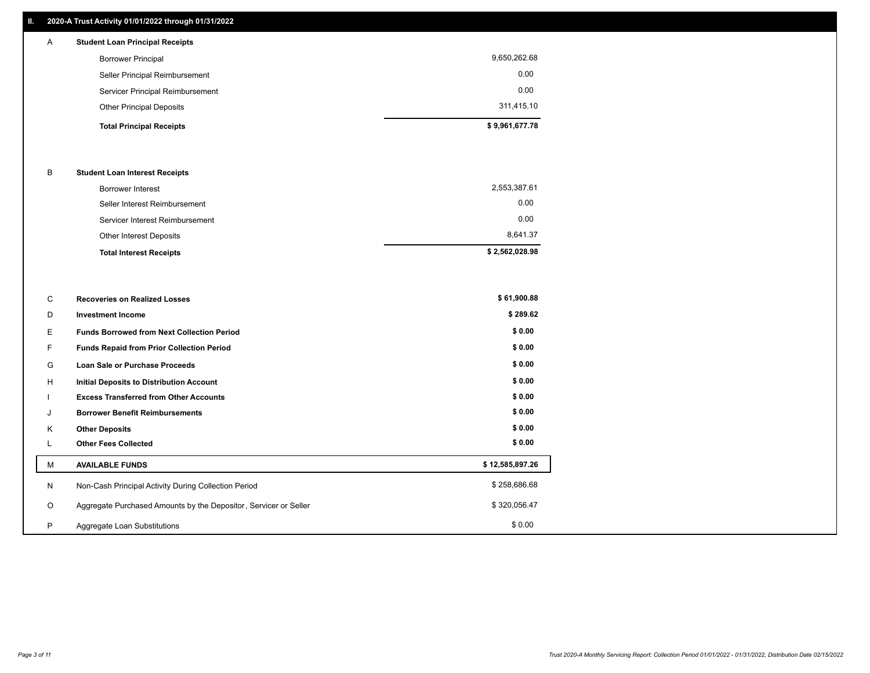## **II. 2020-A Trust Activity 01/01/2022 through 01/31/2022**

| A | <b>Student Loan Principal Receipts</b> |                |
|---|----------------------------------------|----------------|
|   | <b>Borrower Principal</b>              | 9,650,262.68   |
|   | Seller Principal Reimbursement         | 0.00           |
|   | Servicer Principal Reimbursement       | 0.00           |
|   | <b>Other Principal Deposits</b>        | 311,415.10     |
|   | <b>Total Principal Receipts</b>        | \$9,961,677.78 |

## B **Student Loan Interest Receipts**

| <b>Total Interest Receipts</b>  | \$2,562,028.98 |
|---------------------------------|----------------|
| Other Interest Deposits         | 8.641.37       |
| Servicer Interest Reimbursement | 0.00           |
| Seller Interest Reimbursement   | 0.00           |
| Borrower Interest               | 2,553,387.61   |

| C       | <b>Recoveries on Realized Losses</b>                             | \$61,900.88     |
|---------|------------------------------------------------------------------|-----------------|
| D       | <b>Investment Income</b>                                         | \$289.62        |
| Е.      | <b>Funds Borrowed from Next Collection Period</b>                | \$0.00          |
| F.      | Funds Repaid from Prior Collection Period                        | \$0.00          |
| G       | Loan Sale or Purchase Proceeds                                   | \$0.00          |
| H       | Initial Deposits to Distribution Account                         | \$0.00          |
|         | <b>Excess Transferred from Other Accounts</b>                    | \$0.00          |
| J       | <b>Borrower Benefit Reimbursements</b>                           | \$0.00          |
| Κ       | <b>Other Deposits</b>                                            | \$0.00          |
|         | <b>Other Fees Collected</b>                                      | \$0.00          |
| м       | <b>AVAILABLE FUNDS</b>                                           | \$12,585,897.26 |
| N       | Non-Cash Principal Activity During Collection Period             | \$258,686.68    |
| $\circ$ | Aggregate Purchased Amounts by the Depositor, Servicer or Seller | \$320,056.47    |
| P       | Aggregate Loan Substitutions                                     | \$0.00          |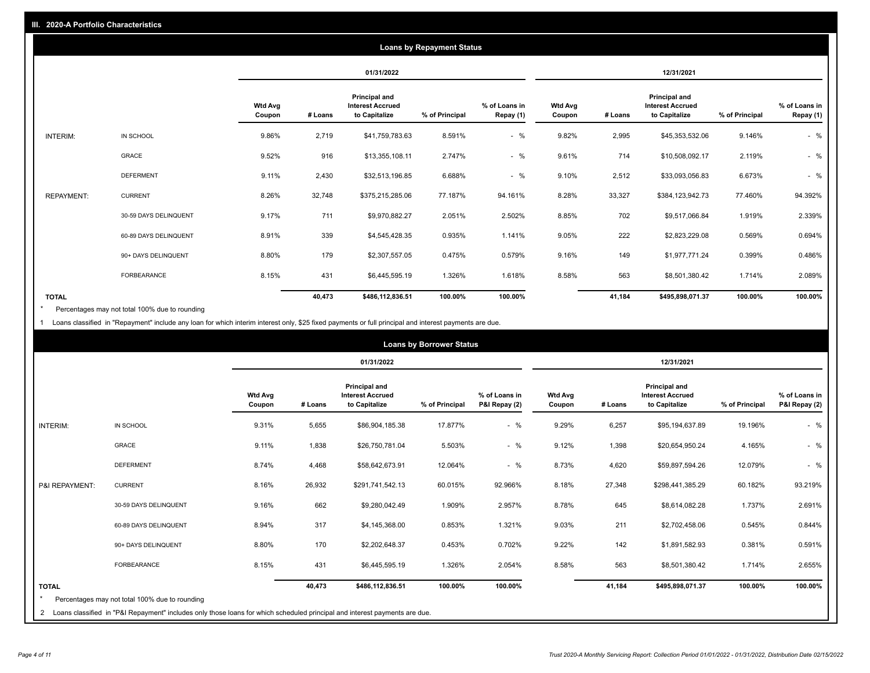|                   |                       |                          |         |                                                           | <b>Loans by Repayment Status</b> |                            |                          |         |                                                           |                |                            |
|-------------------|-----------------------|--------------------------|---------|-----------------------------------------------------------|----------------------------------|----------------------------|--------------------------|---------|-----------------------------------------------------------|----------------|----------------------------|
|                   |                       |                          |         | 01/31/2022                                                |                                  |                            |                          |         | 12/31/2021                                                |                |                            |
|                   |                       | <b>Wtd Avg</b><br>Coupon | # Loans | Principal and<br><b>Interest Accrued</b><br>to Capitalize | % of Principal                   | % of Loans in<br>Repay (1) | <b>Wtd Avg</b><br>Coupon | # Loans | Principal and<br><b>Interest Accrued</b><br>to Capitalize | % of Principal | % of Loans in<br>Repay (1) |
| INTERIM:          | IN SCHOOL             | 9.86%                    | 2,719   | \$41,759,783.63                                           | 8.591%                           | $-$ %                      | 9.82%                    | 2,995   | \$45,353,532.06                                           | 9.146%         | $-$ %                      |
|                   | <b>GRACE</b>          | 9.52%                    | 916     | \$13,355,108.11                                           | 2.747%                           | $-$ %                      | 9.61%                    | 714     | \$10,508,092.17                                           | 2.119%         | $-$ %                      |
|                   | <b>DEFERMENT</b>      | 9.11%                    | 2,430   | \$32,513,196.85                                           | 6.688%                           | $-$ %                      | 9.10%                    | 2,512   | \$33,093,056.83                                           | 6.673%         | $-$ %                      |
| <b>REPAYMENT:</b> | <b>CURRENT</b>        | 8.26%                    | 32,748  | \$375,215,285.06                                          | 77.187%                          | 94.161%                    | 8.28%                    | 33,327  | \$384,123,942.73                                          | 77.460%        | 94.392%                    |
|                   | 30-59 DAYS DELINQUENT | 9.17%                    | 711     | \$9,970,882.27                                            | 2.051%                           | 2.502%                     | 8.85%                    | 702     | \$9,517,066.84                                            | 1.919%         | 2.339%                     |
|                   | 60-89 DAYS DELINQUENT | 8.91%                    | 339     | \$4,545,428.35                                            | 0.935%                           | 1.141%                     | 9.05%                    | 222     | \$2,823,229.08                                            | 0.569%         | 0.694%                     |
|                   | 90+ DAYS DELINQUENT   | 8.80%                    | 179     | \$2,307,557.05                                            | 0.475%                           | 0.579%                     | 9.16%                    | 149     | \$1,977,771.24                                            | 0.399%         | 0.486%                     |
|                   | <b>FORBEARANCE</b>    | 8.15%                    | 431     | \$6,445,595.19                                            | 1.326%                           | 1.618%                     | 8.58%                    | 563     | \$8,501,380.42                                            | 1.714%         | 2.089%                     |
| <b>TOTAL</b>      |                       |                          | 40,473  | \$486,112,836.51                                          | 100.00%                          | 100.00%                    |                          | 41,184  | \$495,898,071.37                                          | 100.00%        | 100.00%                    |

Percentages may not total 100% due to rounding \*

1 Loans classified in "Repayment" include any loan for which interim interest only, \$25 fixed payments or full principal and interest payments are due.

|                         |                                                                                                                              |                          |         |                                                           | <b>Loans by Borrower Status</b> |                                |                          |         |                                                           |                |                                |
|-------------------------|------------------------------------------------------------------------------------------------------------------------------|--------------------------|---------|-----------------------------------------------------------|---------------------------------|--------------------------------|--------------------------|---------|-----------------------------------------------------------|----------------|--------------------------------|
|                         |                                                                                                                              |                          |         | 01/31/2022                                                |                                 |                                |                          |         | 12/31/2021                                                |                |                                |
|                         |                                                                                                                              | <b>Wtd Avg</b><br>Coupon | # Loans | Principal and<br><b>Interest Accrued</b><br>to Capitalize | % of Principal                  | % of Loans in<br>P&I Repay (2) | <b>Wtd Avg</b><br>Coupon | # Loans | Principal and<br><b>Interest Accrued</b><br>to Capitalize | % of Principal | % of Loans in<br>P&I Repay (2) |
| <b>INTERIM:</b>         | IN SCHOOL                                                                                                                    | 9.31%                    | 5,655   | \$86,904,185.38                                           | 17.877%                         | $-$ %                          | 9.29%                    | 6,257   | \$95,194,637.89                                           | 19.196%        | $-$ %                          |
|                         | <b>GRACE</b>                                                                                                                 | 9.11%                    | 1,838   | \$26,750,781.04                                           | 5.503%                          | $-$ %                          | 9.12%                    | 1,398   | \$20,654,950.24                                           | 4.165%         | $-$ %                          |
|                         | <b>DEFERMENT</b>                                                                                                             | 8.74%                    | 4,468   | \$58,642,673.91                                           | 12.064%                         | $-$ %                          | 8.73%                    | 4,620   | \$59,897,594.26                                           | 12.079%        | $-$ %                          |
| P&I REPAYMENT:          | <b>CURRENT</b>                                                                                                               | 8.16%                    | 26,932  | \$291,741,542.13                                          | 60.015%                         | 92.966%                        | 8.18%                    | 27,348  | \$298,441,385.29                                          | 60.182%        | 93.219%                        |
|                         | 30-59 DAYS DELINQUENT                                                                                                        | 9.16%                    | 662     | \$9,280,042.49                                            | 1.909%                          | 2.957%                         | 8.78%                    | 645     | \$8,614,082.28                                            | 1.737%         | 2.691%                         |
|                         | 60-89 DAYS DELINQUENT                                                                                                        | 8.94%                    | 317     | \$4,145,368.00                                            | 0.853%                          | 1.321%                         | 9.03%                    | 211     | \$2,702,458.06                                            | 0.545%         | 0.844%                         |
|                         | 90+ DAYS DELINQUENT                                                                                                          | 8.80%                    | 170     | \$2,202,648.37                                            | 0.453%                          | 0.702%                         | 9.22%                    | 142     | \$1,891,582.93                                            | 0.381%         | 0.591%                         |
|                         | <b>FORBEARANCE</b>                                                                                                           | 8.15%                    | 431     | \$6,445,595.19                                            | 1.326%                          | 2.054%                         | 8.58%                    | 563     | \$8,501,380.42                                            | 1.714%         | 2.655%                         |
| <b>TOTAL</b><br>$\star$ | Percentages may not total 100% due to rounding                                                                               |                          | 40,473  | \$486,112,836.51                                          | 100.00%                         | 100.00%                        |                          | 41,184  | \$495,898,071.37                                          | 100.00%        | 100.00%                        |
|                         | 2 Loans classified in "P&I Repayment" includes only those loans for which scheduled principal and interest payments are due. |                          |         |                                                           |                                 |                                |                          |         |                                                           |                |                                |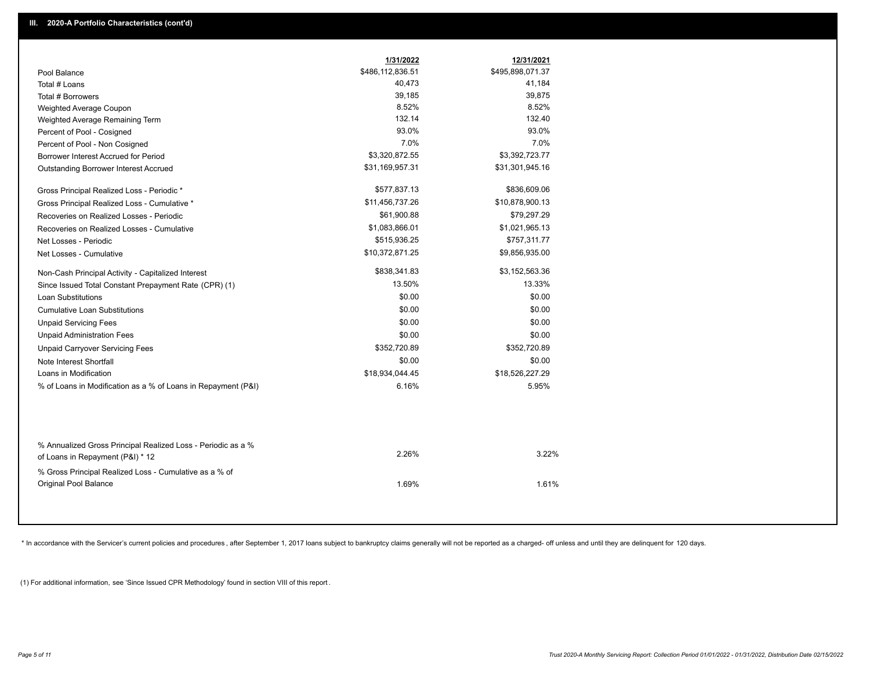|                                                               | 1/31/2022        | 12/31/2021       |  |
|---------------------------------------------------------------|------------------|------------------|--|
| Pool Balance                                                  | \$486,112,836.51 | \$495,898,071.37 |  |
| Total # Loans                                                 | 40,473           | 41,184           |  |
| Total # Borrowers                                             | 39,185           | 39,875           |  |
| Weighted Average Coupon                                       | 8.52%            | 8.52%            |  |
| Weighted Average Remaining Term                               | 132.14           | 132.40           |  |
| Percent of Pool - Cosigned                                    | 93.0%            | 93.0%            |  |
| Percent of Pool - Non Cosigned                                | 7.0%             | 7.0%             |  |
| Borrower Interest Accrued for Period                          | \$3,320,872.55   | \$3,392,723.77   |  |
| Outstanding Borrower Interest Accrued                         | \$31,169,957.31  | \$31,301,945.16  |  |
| Gross Principal Realized Loss - Periodic *                    | \$577,837.13     | \$836,609.06     |  |
| Gross Principal Realized Loss - Cumulative *                  | \$11,456,737.26  | \$10,878,900.13  |  |
| Recoveries on Realized Losses - Periodic                      | \$61,900.88      | \$79,297.29      |  |
| Recoveries on Realized Losses - Cumulative                    | \$1,083,866.01   | \$1,021,965.13   |  |
| Net Losses - Periodic                                         | \$515,936.25     | \$757,311.77     |  |
| Net Losses - Cumulative                                       | \$10,372,871.25  | \$9,856,935.00   |  |
| Non-Cash Principal Activity - Capitalized Interest            | \$838,341.83     | \$3,152,563.36   |  |
| Since Issued Total Constant Prepayment Rate (CPR) (1)         | 13.50%           | 13.33%           |  |
| <b>Loan Substitutions</b>                                     | \$0.00           | \$0.00           |  |
| <b>Cumulative Loan Substitutions</b>                          | \$0.00           | \$0.00           |  |
| <b>Unpaid Servicing Fees</b>                                  | \$0.00           | \$0.00           |  |
| <b>Unpaid Administration Fees</b>                             | \$0.00           | \$0.00           |  |
| <b>Unpaid Carryover Servicing Fees</b>                        | \$352,720.89     | \$352,720.89     |  |
| Note Interest Shortfall                                       | \$0.00           | \$0.00           |  |
| Loans in Modification                                         | \$18,934,044.45  | \$18,526,227.29  |  |
| % of Loans in Modification as a % of Loans in Repayment (P&I) | 6.16%            | 5.95%            |  |
|                                                               |                  |                  |  |
| % Annualized Gross Principal Realized Loss - Periodic as a %  | 2.26%            | 3.22%            |  |
| of Loans in Repayment (P&I) * 12                              |                  |                  |  |
| % Gross Principal Realized Loss - Cumulative as a % of        |                  |                  |  |
| Original Pool Balance                                         | 1.69%            | 1.61%            |  |

\* In accordance with the Servicer's current policies and procedures, after September 1, 2017 loans subject to bankruptcy claims generally will not be reported as a charged- off unless and until they are delinquent for 120

(1) For additional information, see 'Since Issued CPR Methodology' found in section VIII of this report .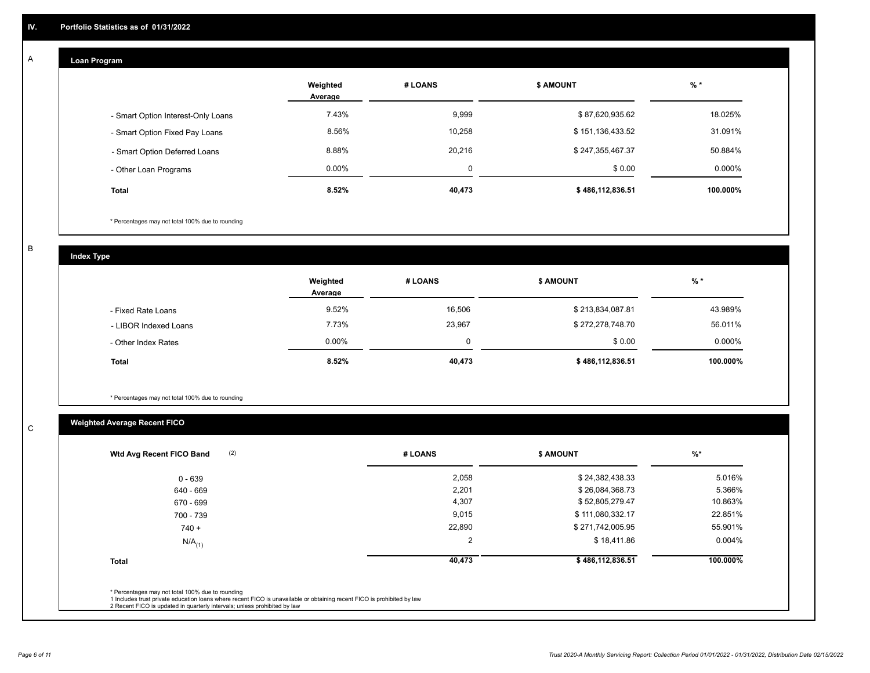## **Loan Program**

A

|                                    | Weighted<br>Average | # LOANS | <b>\$ AMOUNT</b> | $%$ *     |
|------------------------------------|---------------------|---------|------------------|-----------|
| - Smart Option Interest-Only Loans | 7.43%               | 9,999   | \$87,620,935.62  | 18.025%   |
| - Smart Option Fixed Pay Loans     | 8.56%               | 10,258  | \$151,136,433.52 | 31.091%   |
| - Smart Option Deferred Loans      | 8.88%               | 20,216  | \$247,355,467.37 | 50.884%   |
| - Other Loan Programs              | $0.00\%$            | 0       | \$0.00           | $0.000\%$ |
| <b>Total</b>                       | 8.52%               | 40,473  | \$486,112,836.51 | 100.000%  |

\* Percentages may not total 100% due to rounding

B

C

**Index Type**

|                       | Weighted<br>Average | # LOANS | <b>S AMOUNT</b>  | $%$ *     |
|-----------------------|---------------------|---------|------------------|-----------|
| - Fixed Rate Loans    | 9.52%               | 16,506  | \$213,834,087.81 | 43.989%   |
| - LIBOR Indexed Loans | 7.73%               | 23,967  | \$272,278,748.70 | 56.011%   |
| - Other Index Rates   | 0.00%               | 0       | \$0.00           | $0.000\%$ |
| <b>Total</b>          | 8.52%               | 40,473  | \$486,112,836.51 | 100.000%  |

\* Percentages may not total 100% due to rounding

# **Weighted Average Recent FICO**

| \$24,382,438.33<br>\$26,084,368.73 | 5.016%    |
|------------------------------------|-----------|
|                                    |           |
|                                    | 5.366%    |
| \$52,805,279.47                    | 10.863%   |
| \$111,080,332.17                   | 22.851%   |
| \$271,742,005.95                   | 55.901%   |
| \$18,411.86                        | $0.004\%$ |
| \$486,112,836.51                   | 100.000%  |
|                                    |           |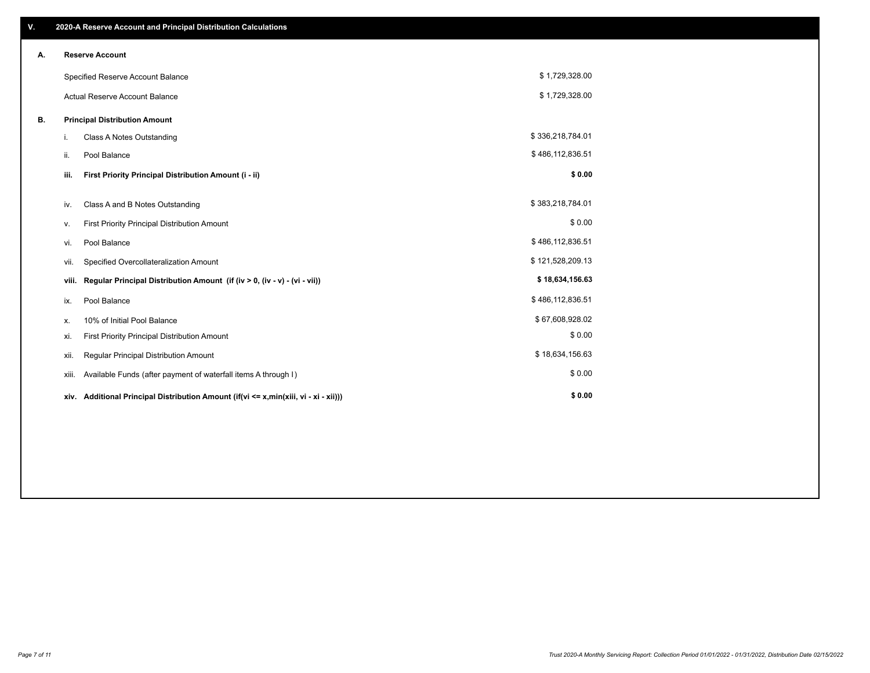| V. |       | 2020-A Reserve Account and Principal Distribution Calculations                       |                  |  |
|----|-------|--------------------------------------------------------------------------------------|------------------|--|
| А. |       | <b>Reserve Account</b>                                                               |                  |  |
|    |       | Specified Reserve Account Balance                                                    | \$1,729,328.00   |  |
|    |       | Actual Reserve Account Balance                                                       | \$1,729,328.00   |  |
| В. |       | <b>Principal Distribution Amount</b>                                                 |                  |  |
|    | i.    | Class A Notes Outstanding                                                            | \$336,218,784.01 |  |
|    | ii.   | Pool Balance                                                                         | \$486,112,836.51 |  |
|    | iii.  | First Priority Principal Distribution Amount (i - ii)                                | \$0.00           |  |
|    | iv.   | Class A and B Notes Outstanding                                                      | \$383,218,784.01 |  |
|    | v.    | First Priority Principal Distribution Amount                                         | \$0.00           |  |
|    | vi.   | Pool Balance                                                                         | \$486,112,836.51 |  |
|    | vii.  | Specified Overcollateralization Amount                                               | \$121,528,209.13 |  |
|    | viii. | Regular Principal Distribution Amount (if (iv > 0, (iv - v) - (vi - vii))            | \$18,634,156.63  |  |
|    | ix.   | Pool Balance                                                                         | \$486,112,836.51 |  |
|    | х.    | 10% of Initial Pool Balance                                                          | \$67,608,928.02  |  |
|    | xi.   | First Priority Principal Distribution Amount                                         | \$0.00           |  |
|    | xii.  | Regular Principal Distribution Amount                                                | \$18,634,156.63  |  |
|    | xiii. | Available Funds (after payment of waterfall items A through I)                       | \$0.00           |  |
|    |       | xiv. Additional Principal Distribution Amount (if(vi <= x,min(xiii, vi - xi - xii))) | \$0.00           |  |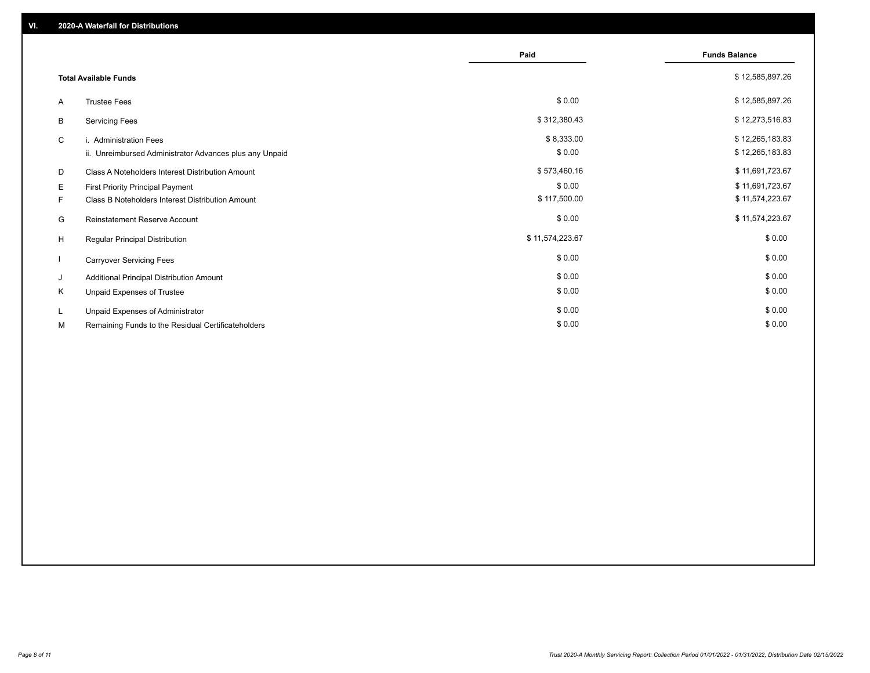|    |                                                         | Paid            | <b>Funds Balance</b> |
|----|---------------------------------------------------------|-----------------|----------------------|
|    | <b>Total Available Funds</b>                            |                 | \$12,585,897.26      |
| A  | <b>Trustee Fees</b>                                     | \$0.00          | \$12,585,897.26      |
| B  | <b>Servicing Fees</b>                                   | \$312,380.43    | \$12,273,516.83      |
| C  | i. Administration Fees                                  | \$8,333.00      | \$12,265,183.83      |
|    | ii. Unreimbursed Administrator Advances plus any Unpaid | \$0.00          | \$12,265,183.83      |
| D  | Class A Noteholders Interest Distribution Amount        | \$573,460.16    | \$11,691,723.67      |
| E. | First Priority Principal Payment                        | \$0.00          | \$11,691,723.67      |
| F. | Class B Noteholders Interest Distribution Amount        | \$117,500.00    | \$11,574,223.67      |
| G  | Reinstatement Reserve Account                           | \$0.00          | \$11,574,223.67      |
| H  | Regular Principal Distribution                          | \$11,574,223.67 | \$0.00               |
|    | <b>Carryover Servicing Fees</b>                         | \$0.00          | \$0.00               |
| J  | Additional Principal Distribution Amount                | \$0.00          | \$0.00               |
| K  | Unpaid Expenses of Trustee                              | \$0.00          | \$0.00               |
| L  | Unpaid Expenses of Administrator                        | \$0.00          | \$0.00               |
| М  | Remaining Funds to the Residual Certificateholders      | \$0.00          | \$0.00               |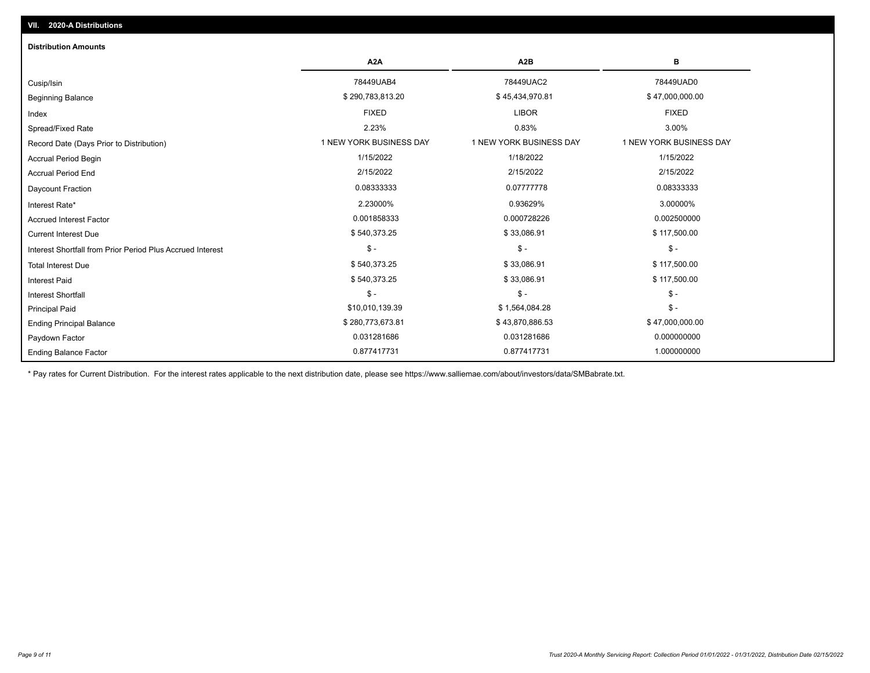| <b>Distribution Amounts</b>                                |                         |                         |                         |
|------------------------------------------------------------|-------------------------|-------------------------|-------------------------|
|                                                            | A <sub>2</sub> A        | A <sub>2</sub> B        | в                       |
| Cusip/Isin                                                 | 78449UAB4               | 78449UAC2               | 78449UAD0               |
| <b>Beginning Balance</b>                                   | \$290,783,813.20        | \$45,434,970.81         | \$47,000,000.00         |
| Index                                                      | <b>FIXED</b>            | <b>LIBOR</b>            | <b>FIXED</b>            |
| Spread/Fixed Rate                                          | 2.23%                   | 0.83%                   | 3.00%                   |
| Record Date (Days Prior to Distribution)                   | 1 NEW YORK BUSINESS DAY | 1 NEW YORK BUSINESS DAY | 1 NEW YORK BUSINESS DAY |
| Accrual Period Begin                                       | 1/15/2022               | 1/18/2022               | 1/15/2022               |
| <b>Accrual Period End</b>                                  | 2/15/2022               | 2/15/2022               | 2/15/2022               |
| Daycount Fraction                                          | 0.08333333              | 0.07777778              | 0.08333333              |
| Interest Rate*                                             | 2.23000%                | 0.93629%                | 3.00000%                |
| <b>Accrued Interest Factor</b>                             | 0.001858333             | 0.000728226             | 0.002500000             |
| <b>Current Interest Due</b>                                | \$540,373.25            | \$33,086.91             | \$117,500.00            |
| Interest Shortfall from Prior Period Plus Accrued Interest | $\mathsf{\$}$ -         | $\mathsf{\$}$ -         | $\mathsf{\$}$ -         |
| <b>Total Interest Due</b>                                  | \$540,373.25            | \$33,086.91             | \$117,500.00            |
| <b>Interest Paid</b>                                       | \$540,373.25            | \$33,086.91             | \$117,500.00            |
| <b>Interest Shortfall</b>                                  | $\mathsf{\$}$ -         | $\mathsf{\$}$ -         | $$ -$                   |
| <b>Principal Paid</b>                                      | \$10,010,139.39         | \$1,564,084.28          | $\mathsf{\$}$ -         |
| <b>Ending Principal Balance</b>                            | \$280,773,673.81        | \$43,870,886.53         | \$47,000,000.00         |
| Paydown Factor                                             | 0.031281686             | 0.031281686             | 0.000000000             |
| <b>Ending Balance Factor</b>                               | 0.877417731             | 0.877417731             | 1.000000000             |

\* Pay rates for Current Distribution. For the interest rates applicable to the next distribution date, please see https://www.salliemae.com/about/investors/data/SMBabrate.txt.

**VII. 2020-A Distributions**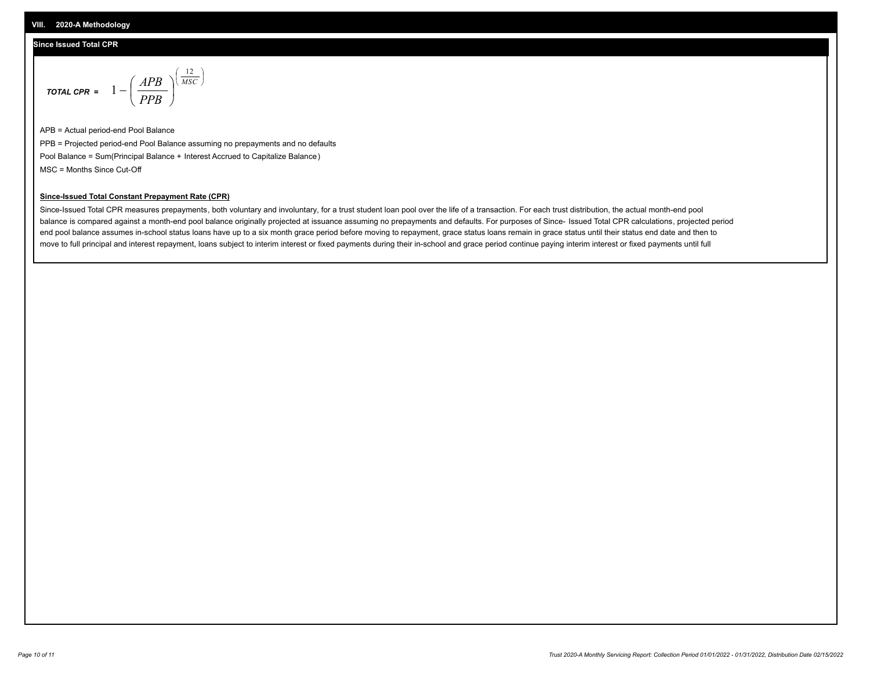### **Since Issued Total CPR**

$$
\text{total cPR} = 1 - \left(\frac{APB}{PPB}\right)^{\left(\frac{12}{MSC}\right)}
$$

APB = Actual period-end Pool Balance PPB = Projected period-end Pool Balance assuming no prepayments and no defaults Pool Balance = Sum(Principal Balance + Interest Accrued to Capitalize Balance) MSC = Months Since Cut-Off

I J Ι

#### **Since-Issued Total Constant Prepayment Rate (CPR)**

Since-Issued Total CPR measures prepayments, both voluntary and involuntary, for a trust student loan pool over the life of a transaction. For each trust distribution, the actual month-end pool balance is compared against a month-end pool balance originally projected at issuance assuming no prepayments and defaults. For purposes of Since- Issued Total CPR calculations, projected period end pool balance assumes in-school status loans have up to a six month grace period before moving to repayment, grace status loans remain in grace status until their status end date and then to move to full principal and interest repayment, loans subject to interim interest or fixed payments during their in-school and grace period continue paying interim interest or fixed payments until full